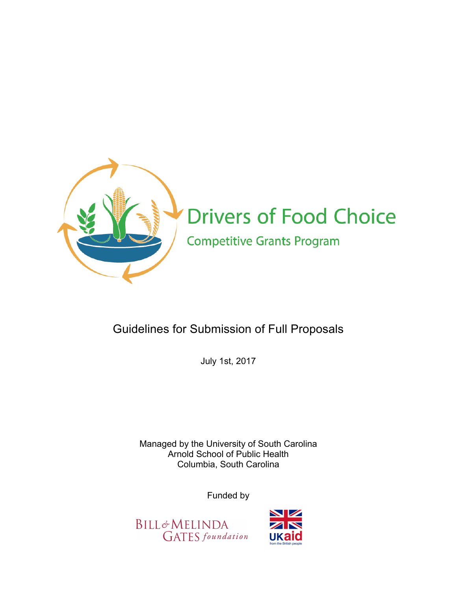

# Guidelines for Submission of Full Proposals

July 1st, 2017

Managed by the University of South Carolina Arnold School of Public Health Columbia, South Carolina

Funded by



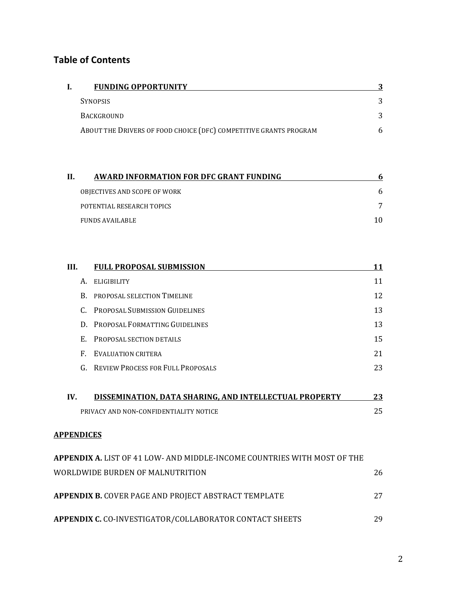## **Table of Contents**

| <b>FUNDING OPPORTUNITY</b>                                        |   |
|-------------------------------------------------------------------|---|
| <b>SYNOPSIS</b>                                                   |   |
| <b>BACKGROUND</b>                                                 |   |
| ABOUT THE DRIVERS OF FOOD CHOICE (DFC) COMPETITIVE GRANTS PROGRAM | 6 |

| H. | AWARD INFORMATION FOR DFC GRANT FUNDING | h |
|----|-----------------------------------------|---|
|    | OBJECTIVES AND SCOPE OF WORK            | h |
|    | POTENTIAL RESEARCH TOPICS               |   |
|    | <b>FUNDS AVAILABLE</b>                  |   |

| III.              |              | <b>FULL PROPOSAL SUBMISSION</b>                                                                  | 11       |
|-------------------|--------------|--------------------------------------------------------------------------------------------------|----------|
|                   |              | A. ELIGIBILITY                                                                                   | 11       |
|                   |              | B. PROPOSAL SELECTION TIMELINE                                                                   | 12       |
|                   |              | PROPOSAL SUBMISSION GUIDELINES                                                                   | 13       |
|                   |              | D. PROPOSAL FORMATTING GUIDELINES                                                                | 13       |
|                   | E.           | PROPOSAL SECTION DETAILS                                                                         | 15       |
|                   | $\mathbf{F}$ | EVALUATION CRITERA                                                                               | 21       |
|                   |              | <b>G. REVIEW PROCESS FOR FULL PROPOSALS</b>                                                      | 23       |
| IV.               |              | DISSEMINATION, DATA SHARING, AND INTELLECTUAL PROPERTY<br>PRIVACY AND NON-CONFIDENTIALITY NOTICE | 23<br>25 |
| <b>APPENDICES</b> |              |                                                                                                  |          |
|                   |              | <b>APPENDIX A. LIST OF 41 LOW- AND MIDDLE-INCOME COUNTRIES WITH MOST OF THE</b>                  |          |
|                   |              | WORLDWIDE BURDEN OF MALNUTRITION                                                                 | 26       |
|                   |              | APPENDIX B. COVER PAGE AND PROJECT ABSTRACT TEMPLATE                                             | 27       |
|                   |              | APPENDIX C. CO-INVESTIGATOR/COLLABORATOR CONTACT SHEETS                                          | 29       |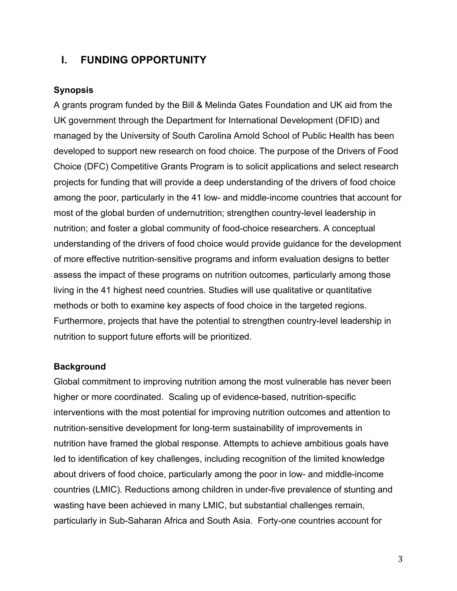## **I. FUNDING OPPORTUNITY**

#### **Synopsis**

A grants program funded by the Bill & Melinda Gates Foundation and UK aid from the UK government through the Department for International Development (DFID) and managed by the University of South Carolina Arnold School of Public Health has been developed to support new research on food choice. The purpose of the Drivers of Food Choice (DFC) Competitive Grants Program is to solicit applications and select research projects for funding that will provide a deep understanding of the drivers of food choice among the poor, particularly in the 41 low- and middle-income countries that account for most of the global burden of undernutrition; strengthen country-level leadership in nutrition; and foster a global community of food-choice researchers. A conceptual understanding of the drivers of food choice would provide guidance for the development of more effective nutrition-sensitive programs and inform evaluation designs to better assess the impact of these programs on nutrition outcomes, particularly among those living in the 41 highest need countries. Studies will use qualitative or quantitative methods or both to examine key aspects of food choice in the targeted regions. Furthermore, projects that have the potential to strengthen country-level leadership in nutrition to support future efforts will be prioritized.

#### **Background**

Global commitment to improving nutrition among the most vulnerable has never been higher or more coordinated. Scaling up of evidence-based, nutrition-specific interventions with the most potential for improving nutrition outcomes and attention to nutrition-sensitive development for long-term sustainability of improvements in nutrition have framed the global response. Attempts to achieve ambitious goals have led to identification of key challenges, including recognition of the limited knowledge about drivers of food choice, particularly among the poor in low- and middle-income countries (LMIC). Reductions among children in under-five prevalence of stunting and wasting have been achieved in many LMIC, but substantial challenges remain, particularly in Sub-Saharan Africa and South Asia. Forty-one countries account for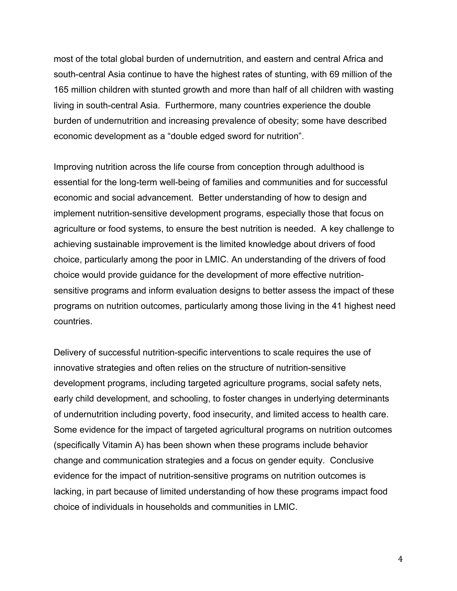most of the total global burden of undernutrition, and eastern and central Africa and south-central Asia continue to have the highest rates of stunting, with 69 million of the 165 million children with stunted growth and more than half of all children with wasting living in south-central Asia. Furthermore, many countries experience the double burden of undernutrition and increasing prevalence of obesity; some have described economic development as a "double edged sword for nutrition".

Improving nutrition across the life course from conception through adulthood is essential for the long-term well-being of families and communities and for successful economic and social advancement. Better understanding of how to design and implement nutrition-sensitive development programs, especially those that focus on agriculture or food systems, to ensure the best nutrition is needed. A key challenge to achieving sustainable improvement is the limited knowledge about drivers of food choice, particularly among the poor in LMIC. An understanding of the drivers of food choice would provide guidance for the development of more effective nutritionsensitive programs and inform evaluation designs to better assess the impact of these programs on nutrition outcomes, particularly among those living in the 41 highest need countries.

Delivery of successful nutrition-specific interventions to scale requires the use of innovative strategies and often relies on the structure of nutrition-sensitive development programs, including targeted agriculture programs, social safety nets, early child development, and schooling, to foster changes in underlying determinants of undernutrition including poverty, food insecurity, and limited access to health care. Some evidence for the impact of targeted agricultural programs on nutrition outcomes (specifically Vitamin A) has been shown when these programs include behavior change and communication strategies and a focus on gender equity. Conclusive evidence for the impact of nutrition-sensitive programs on nutrition outcomes is lacking, in part because of limited understanding of how these programs impact food choice of individuals in households and communities in LMIC.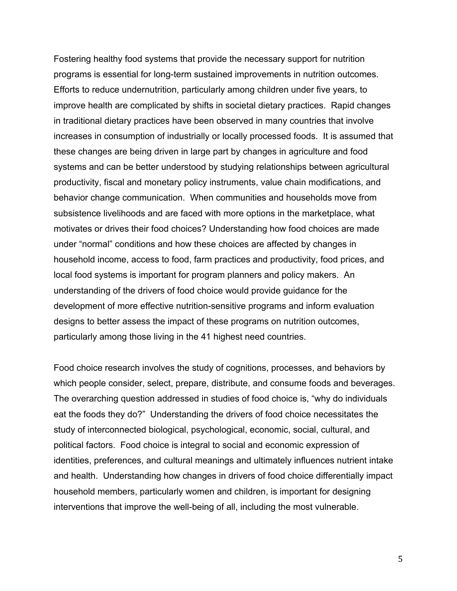Fostering healthy food systems that provide the necessary support for nutrition programs is essential for long-term sustained improvements in nutrition outcomes. Efforts to reduce undernutrition, particularly among children under five years, to improve health are complicated by shifts in societal dietary practices. Rapid changes in traditional dietary practices have been observed in many countries that involve increases in consumption of industrially or locally processed foods. It is assumed that these changes are being driven in large part by changes in agriculture and food systems and can be better understood by studying relationships between agricultural productivity, fiscal and monetary policy instruments, value chain modifications, and behavior change communication. When communities and households move from subsistence livelihoods and are faced with more options in the marketplace, what motivates or drives their food choices? Understanding how food choices are made under "normal" conditions and how these choices are affected by changes in household income, access to food, farm practices and productivity, food prices, and local food systems is important for program planners and policy makers. An understanding of the drivers of food choice would provide guidance for the development of more effective nutrition-sensitive programs and inform evaluation designs to better assess the impact of these programs on nutrition outcomes, particularly among those living in the 41 highest need countries.

Food choice research involves the study of cognitions, processes, and behaviors by which people consider, select, prepare, distribute, and consume foods and beverages. The overarching question addressed in studies of food choice is, "why do individuals eat the foods they do?" Understanding the drivers of food choice necessitates the study of interconnected biological, psychological, economic, social, cultural, and political factors. Food choice is integral to social and economic expression of identities, preferences, and cultural meanings and ultimately influences nutrient intake and health. Understanding how changes in drivers of food choice differentially impact household members, particularly women and children, is important for designing interventions that improve the well-being of all, including the most vulnerable.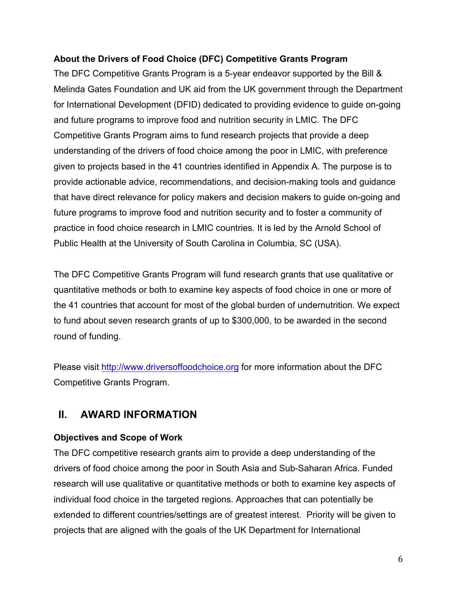#### **About the Drivers of Food Choice (DFC) Competitive Grants Program**

The DFC Competitive Grants Program is a 5-year endeavor supported by the Bill & Melinda Gates Foundation and UK aid from the UK government through the Department for International Development (DFID) dedicated to providing evidence to guide on-going and future programs to improve food and nutrition security in LMIC. The DFC Competitive Grants Program aims to fund research projects that provide a deep understanding of the drivers of food choice among the poor in LMIC, with preference given to projects based in the 41 countries identified in Appendix A. The purpose is to provide actionable advice, recommendations, and decision-making tools and guidance that have direct relevance for policy makers and decision makers to guide on-going and future programs to improve food and nutrition security and to foster a community of practice in food choice research in LMIC countries. It is led by the Arnold School of Public Health at the University of South Carolina in Columbia, SC (USA).

The DFC Competitive Grants Program will fund research grants that use qualitative or quantitative methods or both to examine key aspects of food choice in one or more of the 41 countries that account for most of the global burden of undernutrition. We expect to fund about seven research grants of up to \$300,000, to be awarded in the second round of funding.

Please visit http://www.driversoffoodchoice.org for more information about the DFC Competitive Grants Program.

## **II. AWARD INFORMATION**

## **Objectives and Scope of Work**

The DFC competitive research grants aim to provide a deep understanding of the drivers of food choice among the poor in South Asia and Sub-Saharan Africa. Funded research will use qualitative or quantitative methods or both to examine key aspects of individual food choice in the targeted regions. Approaches that can potentially be extended to different countries/settings are of greatest interest. Priority will be given to projects that are aligned with the goals of the UK Department for International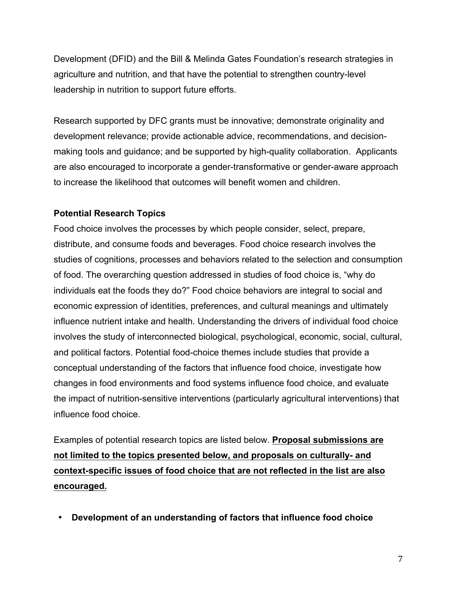Development (DFID) and the Bill & Melinda Gates Foundation's research strategies in agriculture and nutrition, and that have the potential to strengthen country-level leadership in nutrition to support future efforts.

Research supported by DFC grants must be innovative; demonstrate originality and development relevance; provide actionable advice, recommendations, and decisionmaking tools and guidance; and be supported by high-quality collaboration. Applicants are also encouraged to incorporate a gender-transformative or gender-aware approach to increase the likelihood that outcomes will benefit women and children.

#### **Potential Research Topics**

Food choice involves the processes by which people consider, select, prepare, distribute, and consume foods and beverages. Food choice research involves the studies of cognitions, processes and behaviors related to the selection and consumption of food. The overarching question addressed in studies of food choice is, "why do individuals eat the foods they do?" Food choice behaviors are integral to social and economic expression of identities, preferences, and cultural meanings and ultimately influence nutrient intake and health. Understanding the drivers of individual food choice involves the study of interconnected biological, psychological, economic, social, cultural, and political factors. Potential food-choice themes include studies that provide a conceptual understanding of the factors that influence food choice, investigate how changes in food environments and food systems influence food choice, and evaluate the impact of nutrition-sensitive interventions (particularly agricultural interventions) that influence food choice.

Examples of potential research topics are listed below. **Proposal submissions are not limited to the topics presented below, and proposals on culturally- and context-specific issues of food choice that are not reflected in the list are also encouraged.**

• **Development of an understanding of factors that influence food choice**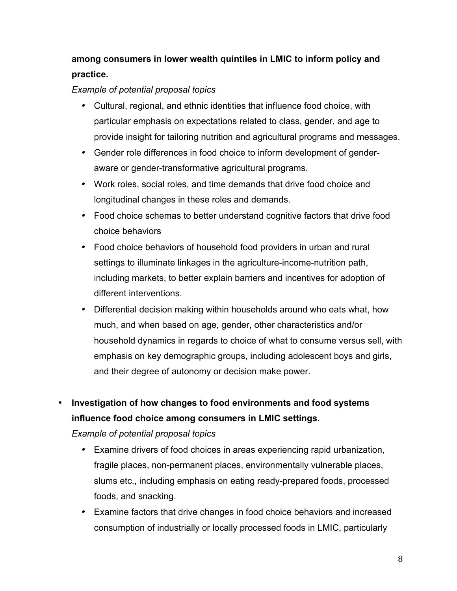## **among consumers in lower wealth quintiles in LMIC to inform policy and practice.**

## *Example of potential proposal topics*

- Cultural, regional, and ethnic identities that influence food choice, with particular emphasis on expectations related to class, gender, and age to provide insight for tailoring nutrition and agricultural programs and messages.
- Gender role differences in food choice to inform development of genderaware or gender-transformative agricultural programs.
- Work roles, social roles, and time demands that drive food choice and longitudinal changes in these roles and demands.
- Food choice schemas to better understand cognitive factors that drive food choice behaviors
- Food choice behaviors of household food providers in urban and rural settings to illuminate linkages in the agriculture-income-nutrition path, including markets, to better explain barriers and incentives for adoption of different interventions.
- Differential decision making within households around who eats what, how much, and when based on age, gender, other characteristics and/or household dynamics in regards to choice of what to consume versus sell, with emphasis on key demographic groups, including adolescent boys and girls, and their degree of autonomy or decision make power.
- **Investigation of how changes to food environments and food systems influence food choice among consumers in LMIC settings.**

*Example of potential proposal topics*

- Examine drivers of food choices in areas experiencing rapid urbanization, fragile places, non-permanent places, environmentally vulnerable places, slums etc., including emphasis on eating ready-prepared foods, processed foods, and snacking.
- Examine factors that drive changes in food choice behaviors and increased consumption of industrially or locally processed foods in LMIC, particularly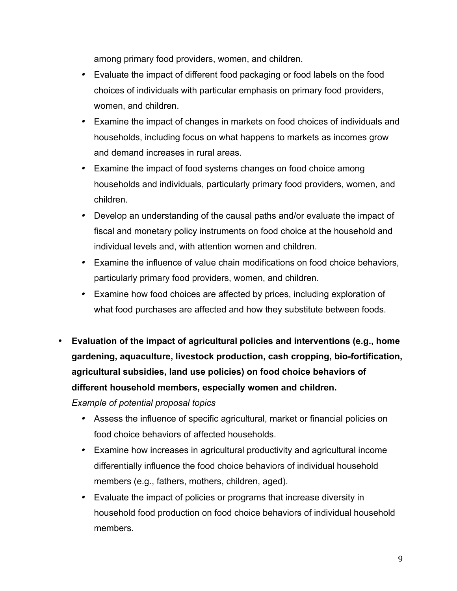among primary food providers, women, and children.

- Evaluate the impact of different food packaging or food labels on the food choices of individuals with particular emphasis on primary food providers, women, and children.
- Examine the impact of changes in markets on food choices of individuals and households, including focus on what happens to markets as incomes grow and demand increases in rural areas.
- Examine the impact of food systems changes on food choice among households and individuals, particularly primary food providers, women, and children.
- Develop an understanding of the causal paths and/or evaluate the impact of fiscal and monetary policy instruments on food choice at the household and individual levels and, with attention women and children.
- Examine the influence of value chain modifications on food choice behaviors, particularly primary food providers, women, and children.
- Examine how food choices are affected by prices, including exploration of what food purchases are affected and how they substitute between foods.
- **Evaluation of the impact of agricultural policies and interventions (e.g., home gardening, aquaculture, livestock production, cash cropping, bio-fortification, agricultural subsidies, land use policies) on food choice behaviors of different household members, especially women and children.**

*Example of potential proposal topics*

- Assess the influence of specific agricultural, market or financial policies on food choice behaviors of affected households.
- Examine how increases in agricultural productivity and agricultural income differentially influence the food choice behaviors of individual household members (e.g., fathers, mothers, children, aged).
- Evaluate the impact of policies or programs that increase diversity in household food production on food choice behaviors of individual household members.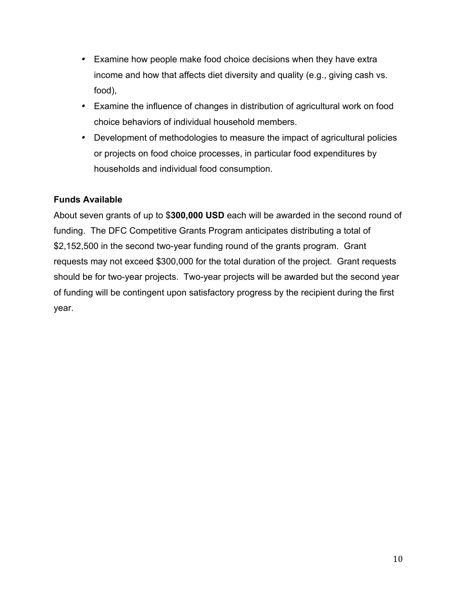- Examine how people make food choice decisions when they have extra income and how that affects diet diversity and quality (e.g., giving cash vs. food),
- Examine the influence of changes in distribution of agricultural work on food choice behaviors of individual household members.
- Development of methodologies to measure the impact of agricultural policies or projects on food choice processes, in particular food expenditures by households and individual food consumption.

## **Funds Available**

About seven grants of up to \$**300,000 USD** each will be awarded in the second round of funding. The DFC Competitive Grants Program anticipates distributing a total of \$2,152,500 in the second two-year funding round of the grants program. Grant requests may not exceed \$300,000 for the total duration of the project. Grant requests should be for two-year projects. Two-year projects will be awarded but the second year of funding will be contingent upon satisfactory progress by the recipient during the first year.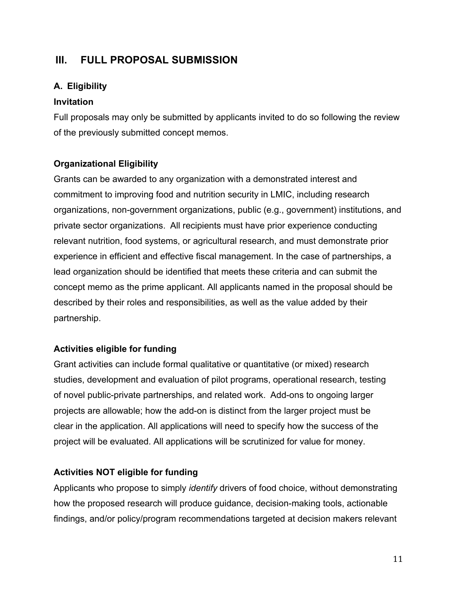## **III. FULL PROPOSAL SUBMISSION**

#### **A. Eligibility**

#### **Invitation**

Full proposals may only be submitted by applicants invited to do so following the review of the previously submitted concept memos.

## **Organizational Eligibility**

Grants can be awarded to any organization with a demonstrated interest and commitment to improving food and nutrition security in LMIC, including research organizations, non-government organizations, public (e.g., government) institutions, and private sector organizations. All recipients must have prior experience conducting relevant nutrition, food systems, or agricultural research, and must demonstrate prior experience in efficient and effective fiscal management. In the case of partnerships, a lead organization should be identified that meets these criteria and can submit the concept memo as the prime applicant. All applicants named in the proposal should be described by their roles and responsibilities, as well as the value added by their partnership.

## **Activities eligible for funding**

Grant activities can include formal qualitative or quantitative (or mixed) research studies, development and evaluation of pilot programs, operational research, testing of novel public-private partnerships, and related work. Add-ons to ongoing larger projects are allowable; how the add-on is distinct from the larger project must be clear in the application. All applications will need to specify how the success of the project will be evaluated. All applications will be scrutinized for value for money.

#### **Activities NOT eligible for funding**

Applicants who propose to simply *identify* drivers of food choice, without demonstrating how the proposed research will produce guidance, decision-making tools, actionable findings, and/or policy/program recommendations targeted at decision makers relevant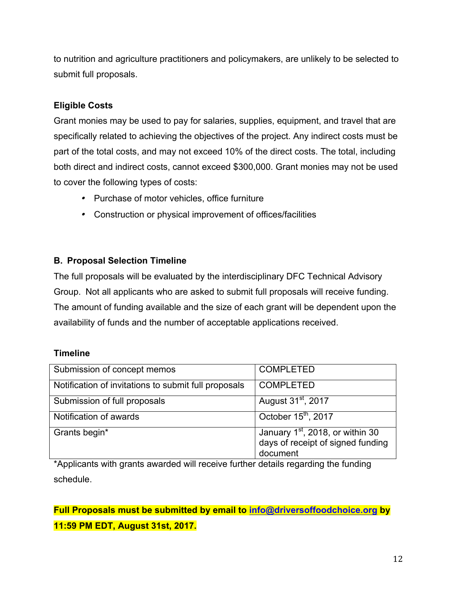to nutrition and agriculture practitioners and policymakers, are unlikely to be selected to submit full proposals.

## **Eligible Costs**

Grant monies may be used to pay for salaries, supplies, equipment, and travel that are specifically related to achieving the objectives of the project. Any indirect costs must be part of the total costs, and may not exceed 10% of the direct costs. The total, including both direct and indirect costs, cannot exceed \$300,000. Grant monies may not be used to cover the following types of costs:

- Purchase of motor vehicles, office furniture
- Construction or physical improvement of offices/facilities

## **B. Proposal Selection Timeline**

The full proposals will be evaluated by the interdisciplinary DFC Technical Advisory Group. Not all applicants who are asked to submit full proposals will receive funding. The amount of funding available and the size of each grant will be dependent upon the availability of funds and the number of acceptable applications received.

## **Timeline**

| Submission of concept memos                          | <b>COMPLETED</b>                                                                    |
|------------------------------------------------------|-------------------------------------------------------------------------------------|
| Notification of invitations to submit full proposals | <b>COMPLETED</b>                                                                    |
| Submission of full proposals                         | August 31 <sup>st</sup> , 2017                                                      |
| Notification of awards                               | October 15 <sup>th</sup> , 2017                                                     |
| Grants begin*                                        | January $1st$ , 2018, or within 30<br>days of receipt of signed funding<br>document |

\*Applicants with grants awarded will receive further details regarding the funding schedule.

**Full Proposals must be submitted by email to info@driversoffoodchoice.org by 11:59 PM EDT, August 31st, 2017.**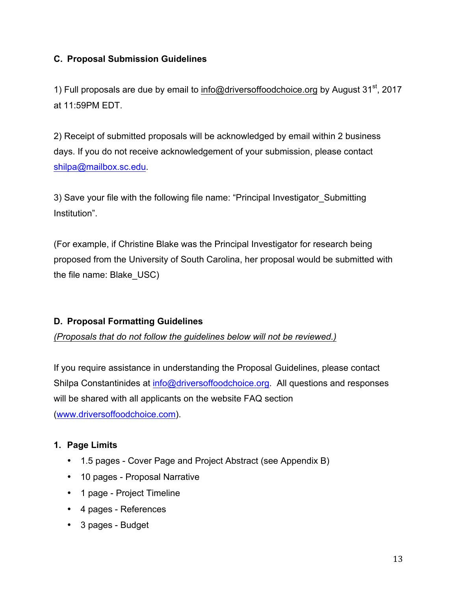## **C. Proposal Submission Guidelines**

1) Full proposals are due by email to info@driversoffoodchoice.org by August 31<sup>st</sup>, 2017 at 11:59PM EDT.

2) Receipt of submitted proposals will be acknowledged by email within 2 business days. If you do not receive acknowledgement of your submission, please contact shilpa@mailbox.sc.edu.

3) Save your file with the following file name: "Principal Investigator\_Submitting Institution".

(For example, if Christine Blake was the Principal Investigator for research being proposed from the University of South Carolina, her proposal would be submitted with the file name: Blake\_USC)

## **D. Proposal Formatting Guidelines**

*(Proposals that do not follow the guidelines below will not be reviewed.)*

If you require assistance in understanding the Proposal Guidelines, please contact Shilpa Constantinides at info@driversoffoodchoice.org. All questions and responses will be shared with all applicants on the website FAQ section (www.driversoffoodchoice.com).

## **1. Page Limits**

- 1.5 pages Cover Page and Project Abstract (see Appendix B)
- 10 pages Proposal Narrative
- 1 page Project Timeline
- 4 pages References
- 3 pages Budget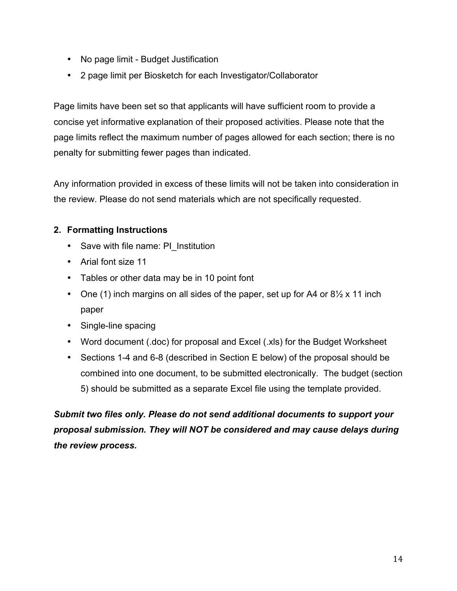- No page limit Budget Justification
- 2 page limit per Biosketch for each Investigator/Collaborator

Page limits have been set so that applicants will have sufficient room to provide a concise yet informative explanation of their proposed activities. Please note that the page limits reflect the maximum number of pages allowed for each section; there is no penalty for submitting fewer pages than indicated.

Any information provided in excess of these limits will not be taken into consideration in the review. Please do not send materials which are not specifically requested.

## **2. Formatting Instructions**

- Save with file name: PI\_Institution
- Arial font size 11
- Tables or other data may be in 10 point font
- One (1) inch margins on all sides of the paper, set up for A4 or  $8\frac{1}{2} \times 11$  inch paper
- Single-line spacing
- Word document (.doc) for proposal and Excel (.xls) for the Budget Worksheet
- Sections 1-4 and 6-8 (described in Section E below) of the proposal should be combined into one document, to be submitted electronically. The budget (section 5) should be submitted as a separate Excel file using the template provided.

*Submit two files only. Please do not send additional documents to support your proposal submission. They will NOT be considered and may cause delays during the review process.*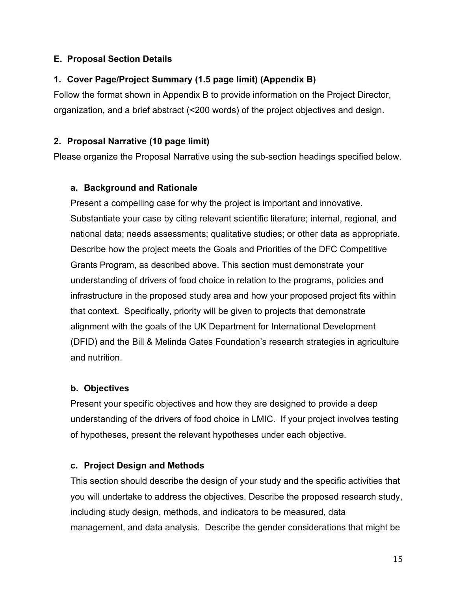#### **E. Proposal Section Details**

#### **1. Cover Page/Project Summary (1.5 page limit) (Appendix B)**

Follow the format shown in Appendix B to provide information on the Project Director, organization, and a brief abstract (<200 words) of the project objectives and design.

#### **2. Proposal Narrative (10 page limit)**

Please organize the Proposal Narrative using the sub-section headings specified below.

#### **a. Background and Rationale**

Present a compelling case for why the project is important and innovative. Substantiate your case by citing relevant scientific literature; internal, regional, and national data; needs assessments; qualitative studies; or other data as appropriate. Describe how the project meets the Goals and Priorities of the DFC Competitive Grants Program, as described above. This section must demonstrate your understanding of drivers of food choice in relation to the programs, policies and infrastructure in the proposed study area and how your proposed project fits within that context. Specifically, priority will be given to projects that demonstrate alignment with the goals of the UK Department for International Development (DFID) and the Bill & Melinda Gates Foundation's research strategies in agriculture and nutrition.

## **b. Objectives**

Present your specific objectives and how they are designed to provide a deep understanding of the drivers of food choice in LMIC. If your project involves testing of hypotheses, present the relevant hypotheses under each objective.

## **c. Project Design and Methods**

This section should describe the design of your study and the specific activities that you will undertake to address the objectives. Describe the proposed research study, including study design, methods, and indicators to be measured, data management, and data analysis. Describe the gender considerations that might be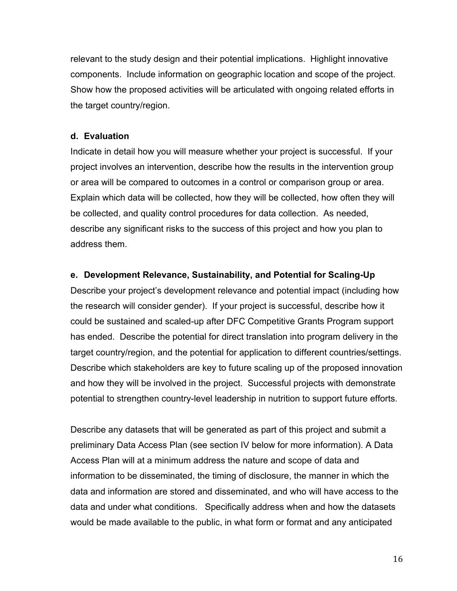relevant to the study design and their potential implications. Highlight innovative components. Include information on geographic location and scope of the project. Show how the proposed activities will be articulated with ongoing related efforts in the target country/region.

#### **d. Evaluation**

Indicate in detail how you will measure whether your project is successful. If your project involves an intervention, describe how the results in the intervention group or area will be compared to outcomes in a control or comparison group or area. Explain which data will be collected, how they will be collected, how often they will be collected, and quality control procedures for data collection. As needed, describe any significant risks to the success of this project and how you plan to address them.

#### **e. Development Relevance, Sustainability, and Potential for Scaling-Up**

Describe your project's development relevance and potential impact (including how the research will consider gender). If your project is successful, describe how it could be sustained and scaled-up after DFC Competitive Grants Program support has ended. Describe the potential for direct translation into program delivery in the target country/region, and the potential for application to different countries/settings. Describe which stakeholders are key to future scaling up of the proposed innovation and how they will be involved in the project. Successful projects with demonstrate potential to strengthen country-level leadership in nutrition to support future efforts.

Describe any datasets that will be generated as part of this project and submit a preliminary Data Access Plan (see section IV below for more information). A Data Access Plan will at a minimum address the nature and scope of data and information to be disseminated, the timing of disclosure, the manner in which the data and information are stored and disseminated, and who will have access to the data and under what conditions. Specifically address when and how the datasets would be made available to the public, in what form or format and any anticipated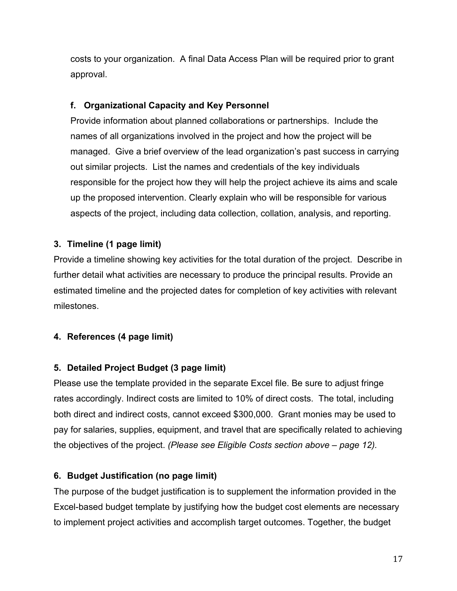costs to your organization. A final Data Access Plan will be required prior to grant approval.

## **f. Organizational Capacity and Key Personnel**

Provide information about planned collaborations or partnerships. Include the names of all organizations involved in the project and how the project will be managed. Give a brief overview of the lead organization's past success in carrying out similar projects. List the names and credentials of the key individuals responsible for the project how they will help the project achieve its aims and scale up the proposed intervention. Clearly explain who will be responsible for various aspects of the project, including data collection, collation, analysis, and reporting.

## **3. Timeline (1 page limit)**

Provide a timeline showing key activities for the total duration of the project. Describe in further detail what activities are necessary to produce the principal results. Provide an estimated timeline and the projected dates for completion of key activities with relevant milestones.

## **4. References (4 page limit)**

## **5. Detailed Project Budget (3 page limit)**

Please use the template provided in the separate Excel file. Be sure to adjust fringe rates accordingly. Indirect costs are limited to 10% of direct costs. The total, including both direct and indirect costs, cannot exceed \$300,000. Grant monies may be used to pay for salaries, supplies, equipment, and travel that are specifically related to achieving the objectives of the project. *(Please see Eligible Costs section above – page 12).*

## **6. Budget Justification (no page limit)**

The purpose of the budget justification is to supplement the information provided in the Excel-based budget template by justifying how the budget cost elements are necessary to implement project activities and accomplish target outcomes. Together, the budget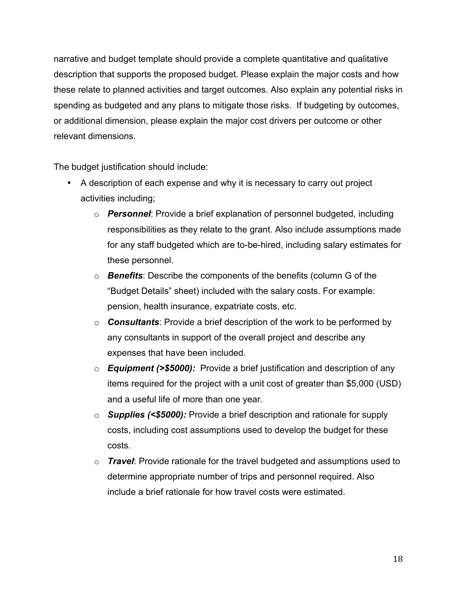narrative and budget template should provide a complete quantitative and qualitative description that supports the proposed budget. Please explain the major costs and how these relate to planned activities and target outcomes. Also explain any potential risks in spending as budgeted and any plans to mitigate those risks. If budgeting by outcomes, or additional dimension, please explain the major cost drivers per outcome or other relevant dimensions.

The budget justification should include:

- A description of each expense and why it is necessary to carry out project activities including;
	- o *Personnel*: Provide a brief explanation of personnel budgeted, including responsibilities as they relate to the grant. Also include assumptions made for any staff budgeted which are to-be-hired, including salary estimates for these personnel.
	- o *Benefits*: Describe the components of the benefits (column G of the "Budget Details" sheet) included with the salary costs. For example: pension, health insurance, expatriate costs, etc.
	- o *Consultants*: Provide a brief description of the work to be performed by any consultants in support of the overall project and describe any expenses that have been included.
	- o *Equipment (>\$5000):* Provide a brief justification and description of any items required for the project with a unit cost of greater than \$5,000 (USD) and a useful life of more than one year.
	- o *Supplies (<\$5000):* Provide a brief description and rationale for supply costs, including cost assumptions used to develop the budget for these costs.
	- o *Travel*: Provide rationale for the travel budgeted and assumptions used to determine appropriate number of trips and personnel required. Also include a brief rationale for how travel costs were estimated.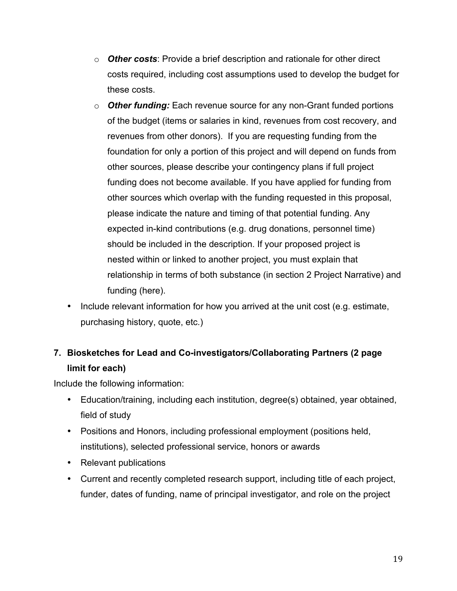- o *Other costs*: Provide a brief description and rationale for other direct costs required, including cost assumptions used to develop the budget for these costs.
- o *Other funding:* Each revenue source for any non-Grant funded portions of the budget (items or salaries in kind, revenues from cost recovery, and revenues from other donors). If you are requesting funding from the foundation for only a portion of this project and will depend on funds from other sources, please describe your contingency plans if full project funding does not become available. If you have applied for funding from other sources which overlap with the funding requested in this proposal, please indicate the nature and timing of that potential funding. Any expected in-kind contributions (e.g. drug donations, personnel time) should be included in the description. If your proposed project is nested within or linked to another project, you must explain that relationship in terms of both substance (in section 2 Project Narrative) and funding (here).
- Include relevant information for how you arrived at the unit cost (e.g. estimate, purchasing history, quote, etc.)

# **7. Biosketches for Lead and Co-investigators/Collaborating Partners (2 page limit for each)**

Include the following information:

- Education/training, including each institution, degree(s) obtained, year obtained, field of study
- Positions and Honors, including professional employment (positions held, institutions), selected professional service, honors or awards
- Relevant publications
- Current and recently completed research support, including title of each project, funder, dates of funding, name of principal investigator, and role on the project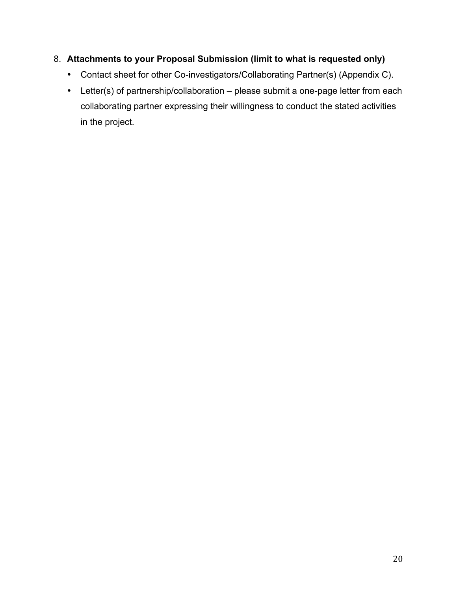## 8. **Attachments to your Proposal Submission (limit to what is requested only)**

- Contact sheet for other Co-investigators/Collaborating Partner(s) (Appendix C).
- Letter(s) of partnership/collaboration please submit a one-page letter from each collaborating partner expressing their willingness to conduct the stated activities in the project.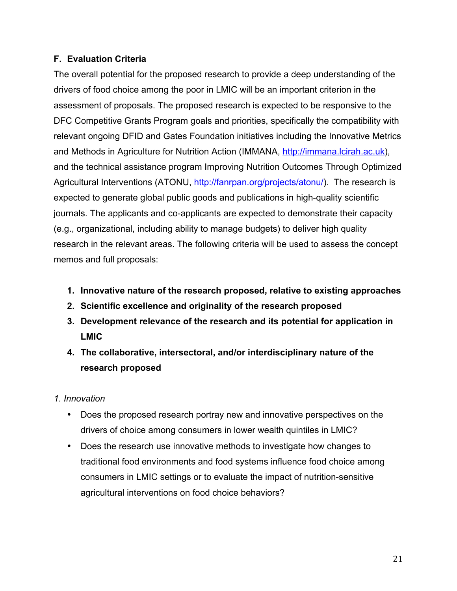#### **F. Evaluation Criteria**

The overall potential for the proposed research to provide a deep understanding of the drivers of food choice among the poor in LMIC will be an important criterion in the assessment of proposals. The proposed research is expected to be responsive to the DFC Competitive Grants Program goals and priorities, specifically the compatibility with relevant ongoing DFID and Gates Foundation initiatives including the Innovative Metrics and Methods in Agriculture for Nutrition Action (IMMANA, http://immana.lcirah.ac.uk), and the technical assistance program Improving Nutrition Outcomes Through Optimized Agricultural Interventions (ATONU, http://fanrpan.org/projects/atonu/). The research is expected to generate global public goods and publications in high-quality scientific journals. The applicants and co-applicants are expected to demonstrate their capacity (e.g., organizational, including ability to manage budgets) to deliver high quality research in the relevant areas. The following criteria will be used to assess the concept memos and full proposals:

- **1. Innovative nature of the research proposed, relative to existing approaches**
- **2. Scientific excellence and originality of the research proposed**
- **3. Development relevance of the research and its potential for application in LMIC**
- **4. The collaborative, intersectoral, and/or interdisciplinary nature of the research proposed**

## *1. Innovation*

- Does the proposed research portray new and innovative perspectives on the drivers of choice among consumers in lower wealth quintiles in LMIC?
- Does the research use innovative methods to investigate how changes to traditional food environments and food systems influence food choice among consumers in LMIC settings or to evaluate the impact of nutrition-sensitive agricultural interventions on food choice behaviors?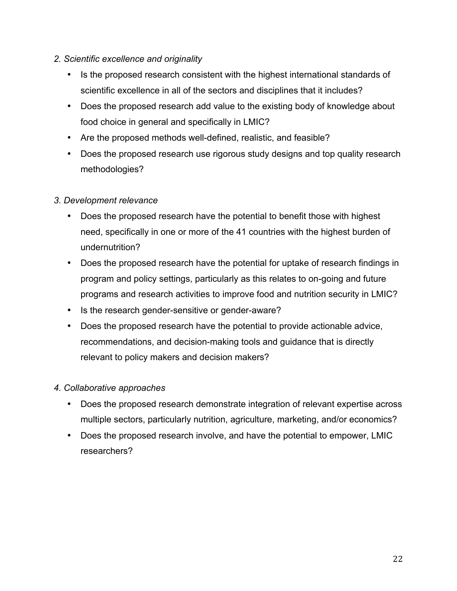#### *2. Scientific excellence and originality*

- Is the proposed research consistent with the highest international standards of scientific excellence in all of the sectors and disciplines that it includes?
- Does the proposed research add value to the existing body of knowledge about food choice in general and specifically in LMIC?
- Are the proposed methods well-defined, realistic, and feasible?
- Does the proposed research use rigorous study designs and top quality research methodologies?

## *3. Development relevance*

- Does the proposed research have the potential to benefit those with highest need, specifically in one or more of the 41 countries with the highest burden of undernutrition?
- Does the proposed research have the potential for uptake of research findings in program and policy settings, particularly as this relates to on-going and future programs and research activities to improve food and nutrition security in LMIC?
- Is the research gender-sensitive or gender-aware?
- Does the proposed research have the potential to provide actionable advice, recommendations, and decision-making tools and guidance that is directly relevant to policy makers and decision makers?

## *4. Collaborative approaches*

- Does the proposed research demonstrate integration of relevant expertise across multiple sectors, particularly nutrition, agriculture, marketing, and/or economics?
- Does the proposed research involve, and have the potential to empower, LMIC researchers?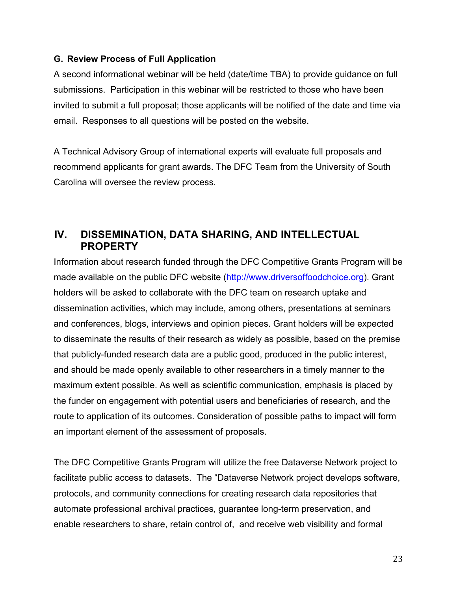#### **G. Review Process of Full Application**

A second informational webinar will be held (date/time TBA) to provide guidance on full submissions. Participation in this webinar will be restricted to those who have been invited to submit a full proposal; those applicants will be notified of the date and time via email. Responses to all questions will be posted on the website.

A Technical Advisory Group of international experts will evaluate full proposals and recommend applicants for grant awards. The DFC Team from the University of South Carolina will oversee the review process.

## **IV. DISSEMINATION, DATA SHARING, AND INTELLECTUAL PROPERTY**

Information about research funded through the DFC Competitive Grants Program will be made available on the public DFC website (http://www.driversoffoodchoice.org). Grant holders will be asked to collaborate with the DFC team on research uptake and dissemination activities, which may include, among others, presentations at seminars and conferences, blogs, interviews and opinion pieces. Grant holders will be expected to disseminate the results of their research as widely as possible, based on the premise that publicly-funded research data are a public good, produced in the public interest, and should be made openly available to other researchers in a timely manner to the maximum extent possible. As well as scientific communication, emphasis is placed by the funder on engagement with potential users and beneficiaries of research, and the route to application of its outcomes. Consideration of possible paths to impact will form an important element of the assessment of proposals.

The DFC Competitive Grants Program will utilize the free Dataverse Network project to facilitate public access to datasets. The "Dataverse Network project develops software, protocols, and community connections for creating research data repositories that automate professional archival practices, guarantee long-term preservation, and enable researchers to share, retain control of, and receive web visibility and formal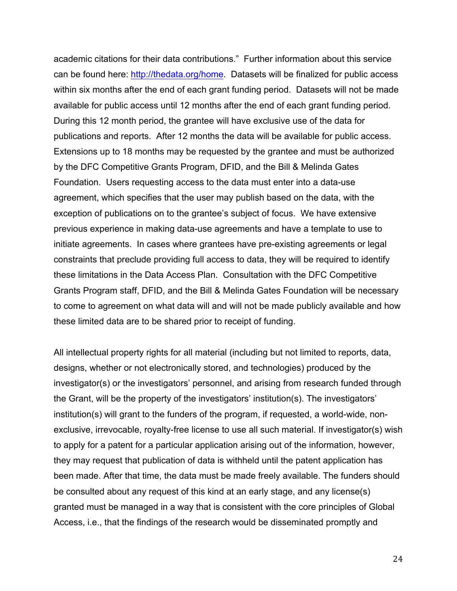academic citations for their data contributions." Further information about this service can be found here: http://thedata.org/home. Datasets will be finalized for public access within six months after the end of each grant funding period. Datasets will not be made available for public access until 12 months after the end of each grant funding period. During this 12 month period, the grantee will have exclusive use of the data for publications and reports. After 12 months the data will be available for public access. Extensions up to 18 months may be requested by the grantee and must be authorized by the DFC Competitive Grants Program, DFID, and the Bill & Melinda Gates Foundation. Users requesting access to the data must enter into a data-use agreement, which specifies that the user may publish based on the data, with the exception of publications on to the grantee's subject of focus. We have extensive previous experience in making data-use agreements and have a template to use to initiate agreements. In cases where grantees have pre-existing agreements or legal constraints that preclude providing full access to data, they will be required to identify these limitations in the Data Access Plan. Consultation with the DFC Competitive Grants Program staff, DFID, and the Bill & Melinda Gates Foundation will be necessary to come to agreement on what data will and will not be made publicly available and how these limited data are to be shared prior to receipt of funding.

All intellectual property rights for all material (including but not limited to reports, data, designs, whether or not electronically stored, and technologies) produced by the investigator(s) or the investigators' personnel, and arising from research funded through the Grant, will be the property of the investigators' institution(s). The investigators' institution(s) will grant to the funders of the program, if requested, a world-wide, nonexclusive, irrevocable, royalty-free license to use all such material. If investigator(s) wish to apply for a patent for a particular application arising out of the information, however, they may request that publication of data is withheld until the patent application has been made. After that time, the data must be made freely available. The funders should be consulted about any request of this kind at an early stage, and any license(s) granted must be managed in a way that is consistent with the core principles of Global Access, i.e., that the findings of the research would be disseminated promptly and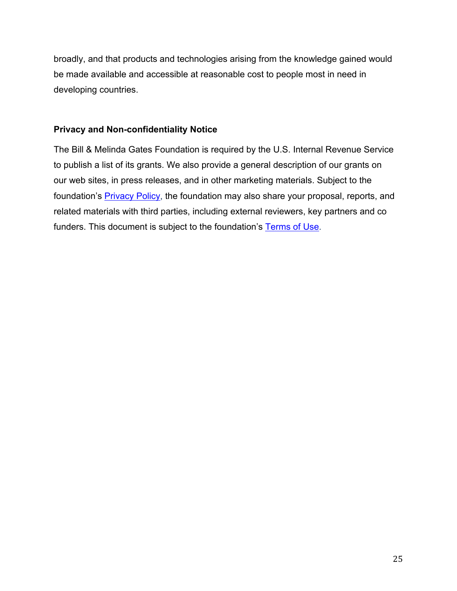broadly, and that products and technologies arising from the knowledge gained would be made available and accessible at reasonable cost to people most in need in developing countries.

#### **Privacy and Non-confidentiality Notice**

The Bill & Melinda Gates Foundation is required by the U.S. Internal Revenue Service to publish a list of its grants. We also provide a general description of our grants on our web sites, in press releases, and in other marketing materials. Subject to the foundation's **Privacy Policy**, the foundation may also share your proposal, reports, and related materials with third parties, including external reviewers, key partners and co funders. This document is subject to the foundation's Terms of Use.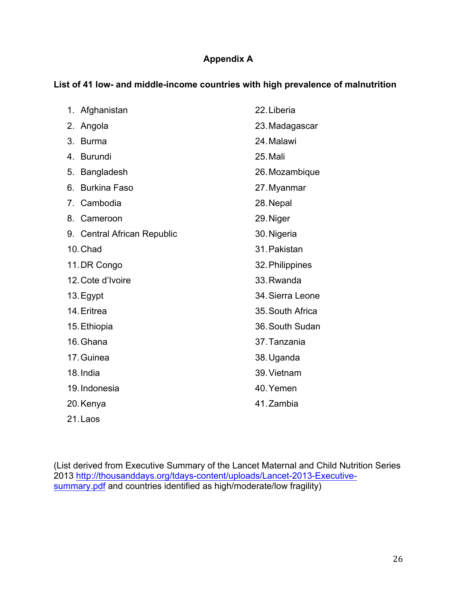## **Appendix A**

#### **List of 41 low- and middle-income countries with high prevalence of malnutrition**

| Afghanistan<br>1.                     | 22. Liberia      |  |
|---------------------------------------|------------------|--|
| 2.<br>Angola                          | 23. Madagascar   |  |
| <b>Burma</b><br>3.                    | 24. Malawi       |  |
| <b>Burundi</b><br>4.                  | 25. Mali         |  |
| 5.<br>Bangladesh                      | 26. Mozambique   |  |
| <b>Burkina Faso</b><br>6.             | 27. Myanmar      |  |
| Cambodia<br>$7\phantom{.}$            | 28. Nepal        |  |
| 8.<br>Cameroon                        | 29. Niger        |  |
| <b>Central African Republic</b><br>9. | 30. Nigeria      |  |
| 10. Chad                              | 31. Pakistan     |  |
| 11. DR Congo                          | 32. Philippines  |  |
| 12. Cote d'Ivoire                     | 33. Rwanda       |  |
| 13. Egypt                             | 34. Sierra Leone |  |
| 14. Eritrea                           | 35. South Africa |  |
| 15. Ethiopia                          | 36. South Sudan  |  |
| 16. Ghana                             | 37. Tanzania     |  |
| 17. Guinea                            | 38. Uganda       |  |
| 18. India                             | 39. Vietnam      |  |
| 19. Indonesia                         | 40. Yemen        |  |
| 20. Kenya                             | 41. Zambia       |  |
|                                       |                  |  |

21.Laos

(List derived from Executive Summary of the Lancet Maternal and Child Nutrition Series 2013 http://thousanddays.org/tdays-content/uploads/Lancet-2013-Executivesummary.pdf and countries identified as high/moderate/low fragility)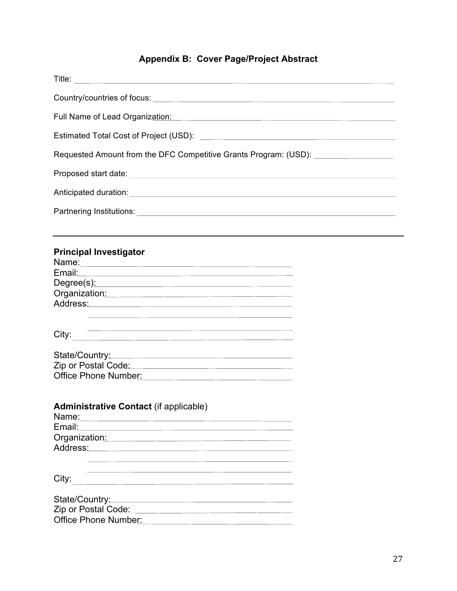# **Appendix B: Cover Page/Project Abstract**

| Full Name of Lead Organization: Management of Lead Organization:                                                                                                                                                                                                                                                                                                                     |  |  |
|--------------------------------------------------------------------------------------------------------------------------------------------------------------------------------------------------------------------------------------------------------------------------------------------------------------------------------------------------------------------------------------|--|--|
|                                                                                                                                                                                                                                                                                                                                                                                      |  |  |
| Requested Amount from the DFC Competitive Grants Program: (USD): _______________                                                                                                                                                                                                                                                                                                     |  |  |
|                                                                                                                                                                                                                                                                                                                                                                                      |  |  |
| Anticipated duration: <u>contract and a series of the series of the series of the series of the series of the series of the series of the series of the series of the series of the series of the series of the series of the se</u>                                                                                                                                                 |  |  |
|                                                                                                                                                                                                                                                                                                                                                                                      |  |  |
| <b>Principal Investigator</b><br>Organization: example and a series of the contract of the contract of the contract of the contract of the contract of the contract of the contract of the contract of the contract of the contract of the contract of the cont                                                                                                                      |  |  |
| the control of the control of the control of the control of the control of the control of the control of the control of the control of the control of the control of the control of the control of the control of the control<br><u> 1989 - Andrea Station Barbara, actor a component de la componentación de la componentación de la componentació</u><br>City: <u>Example 2006</u> |  |  |
| Office Phone Number: 2008                                                                                                                                                                                                                                                                                                                                                            |  |  |
| <b>Administrative Contact (if applicable)</b><br>Name:<br><u> 1980 - Andrea Andrew Maria (h. 1980).</u><br>Email:<br>Organization:<br>Address:                                                                                                                                                                                                                                       |  |  |
| City:                                                                                                                                                                                                                                                                                                                                                                                |  |  |
| State/Country:<br>the control of the control of the control of the control of the control of the control of<br><b>Office Phone Number:</b>                                                                                                                                                                                                                                           |  |  |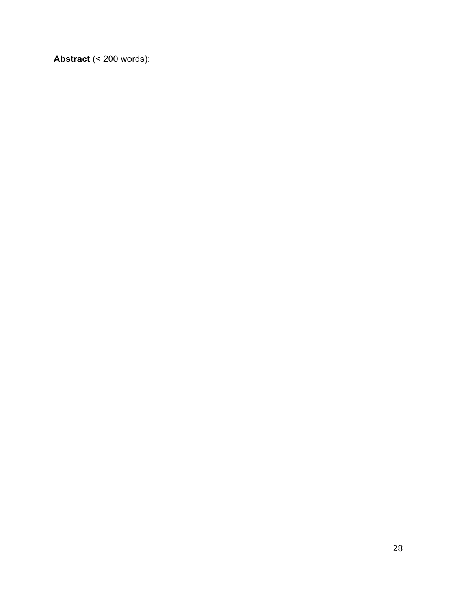**Abstract**  $( \leq 200 \text{ words})$ :